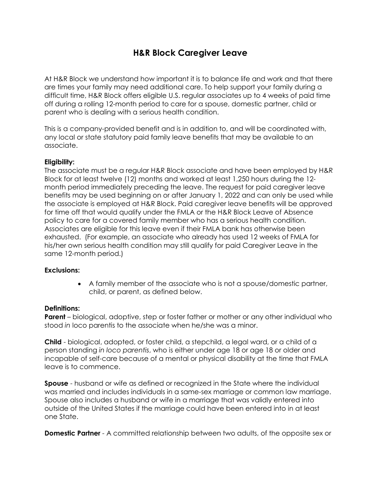# **H&R Block Caregiver Leave**

At H&R Block we understand how important it is to balance life and work and that there are times your family may need additional care. To help support your family during a difficult time, H&R Block offers eligible U.S. regular associates up to 4 weeks of paid time off during a rolling 12-month period to care for a spouse, domestic partner, child or parent who is dealing with a serious health condition.

This is a company-provided benefit and is in addition to, and will be coordinated with, any local or state statutory paid family leave benefits that may be available to an associate.

### **Eligibility:**

The associate must be a regular H&R Block associate and have been employed by H&R Block for at least twelve (12) months and worked at least 1,250 hours during the 12 month period immediately preceding the leave. The request for paid caregiver leave benefits may be used beginning on or after January 1, 2022 and can only be used while the associate is employed at H&R Block. Paid caregiver leave benefits will be approved for time off that would qualify under the FMLA or the H&R Block Leave of Absence policy to care for a covered family member who has a serious health condition. Associates are eligible for this leave even if their FMLA bank has otherwise been exhausted. (For example, an associate who already has used 12 weeks of FMLA for his/her own serious health condition may still qualify for paid Caregiver Leave in the same 12-month period.)

### **Exclusions:**

• A family member of the associate who is not a spouse/domestic partner, child, or parent, as defined below.

### **Definitions:**

**Parent** – biological, adoptive, step or foster father or mother or any other individual who stood *in* loco parentis to the associate when he/she was a minor.

**Child** - biological, adopted, or foster child, a stepchild, a legal ward, or a child of a person standing *in loco parentis*, who is either under age 18 or [age 18 or older and](https://www.dol.gov/whd/regs/compliance/whdfs28k.htm)  [incapable of self-care because of a mental or physical disability](https://www.dol.gov/whd/regs/compliance/whdfs28k.htm) at the time that FMLA leave is to commence.

**Spouse** - husband or wife as defined or recognized in the State where the individual was married and includes individuals in a same-sex marriage or common law marriage. Spouse also includes a husband or wife in a marriage that was validly entered into outside of the United States if the marriage could have been entered into in at least one State.

**Domestic Partner** - A committed relationship between two adults, of the opposite sex or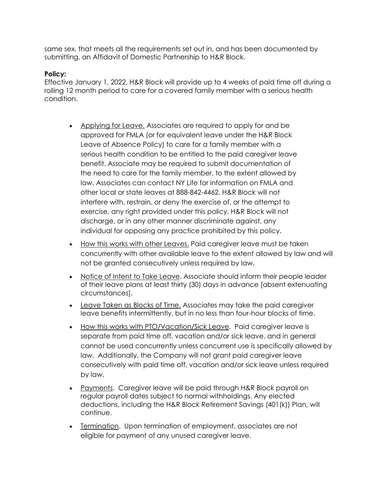same sex, that meets all the requirements set out in, and has been documented by submitting, an Affidavit of Domestic Partnership to H&R Block.

## **Policy:**

Effective January 1, 2022, H&R Block will provide up to 4 weeks of paid time off during a rolling 12 month period to care for a covered family member with a serious health condition.

- Applying for Leave. Associates are required to apply for and be approved for FMLA (or for equivalent leave under the H&R Block Leave of Absence Policy) to care for a family member with a serious health condition to be entitled to the paid caregiver leave benefit. Associate may be required to submit documentation of the need to care for the family member, to the extent allowed by law. Associates can contact NY Life for information on FMLA and other local or state leaves at 888-842-4462. H&R Block will not interfere with, restrain, or deny the exercise of, or the attempt to exercise, any right provided under this policy. H&R Block will not discharge, or in any other manner discriminate against, any individual for opposing any practice prohibited by this policy.
- How this works with other Leaves. Paid caregiver leave must be taken concurrently with other available leave to the extent allowed by law and will not be granted consecutively unless required by law.
- Notice of Intent to Take Leave. Associate should inform their people leader of their leave plans at least thirty (30) days in advance [absent extenuating circumstances].
- Leave Taken as Blocks of Time. Associates may take the paid caregiver leave benefits intermittently, but in no less than four-hour blocks of time.
- How this works with PTO/Vacation/Sick Leave. Paid caregiver leave is separate from paid time off, vacation and/or sick leave, and in general cannot be used concurrently unless concurrent use is specifically allowed by law. Additionally, the Company will not grant paid caregiver leave consecutively with paid time off, vacation and/or sick leave unless required by law.
- Payments. Caregiver leave will be paid through H&R Block payroll on regular payroll dates subject to normal withholdings. Any elected deductions, including the H&R Block Retirement Savings (401(k)) Plan, will continue.
- Termination. Upon termination of employment, associates are not eligible for payment of any unused caregiver leave.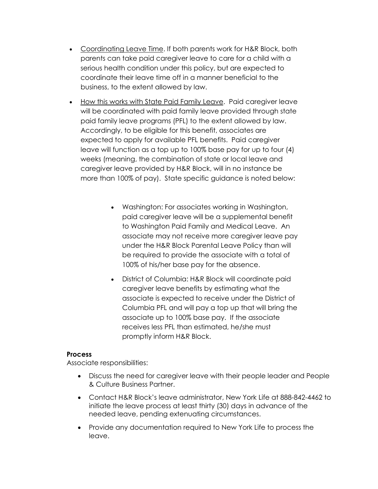- Coordinating Leave Time. If both parents work for H&R Block, both parents can take paid caregiver leave to care for a child with a serious health condition under this policy, but are expected to coordinate their leave time off in a manner beneficial to the business, to the extent allowed by law.
- How this works with State Paid Family Leave. Paid caregiver leave will be coordinated with paid family leave provided through state paid family leave programs (PFL) to the extent allowed by law. Accordingly, to be eligible for this benefit, associates are expected to apply for available PFL benefits. Paid caregiver leave will function as a top up to 100% base pay for up to four (4) weeks (meaning, the combination of state or local leave and caregiver leave provided by H&R Block, will in no instance be more than 100% of pay). State specific guidance is noted below:
	- Washington: For associates working in Washington, paid caregiver leave will be a supplemental benefit to Washington Paid Family and Medical Leave. An associate may not receive more caregiver leave pay under the H&R Block Parental Leave Policy than will be required to provide the associate with a total of 100% of his/her base pay for the absence.
	- District of Columbia: H&R Block will coordinate paid caregiver leave benefits by estimating what the associate is expected to receive under the District of Columbia PFL and will pay a top up that will bring the associate up to 100% base pay. If the associate receives less PFL than estimated, he/she must promptly inform H&R Block.

### **Process**

Associate responsibilities:

- Discuss the need for caregiver leave with their people leader and People & Culture Business Partner.
- Contact H&R Block's leave administrator, New York Life at 888-842-4462 to initiate the leave process at least thirty (30) days in advance of the needed leave, pending extenuating circumstances.
- Provide any documentation required to New York Life to process the leave.